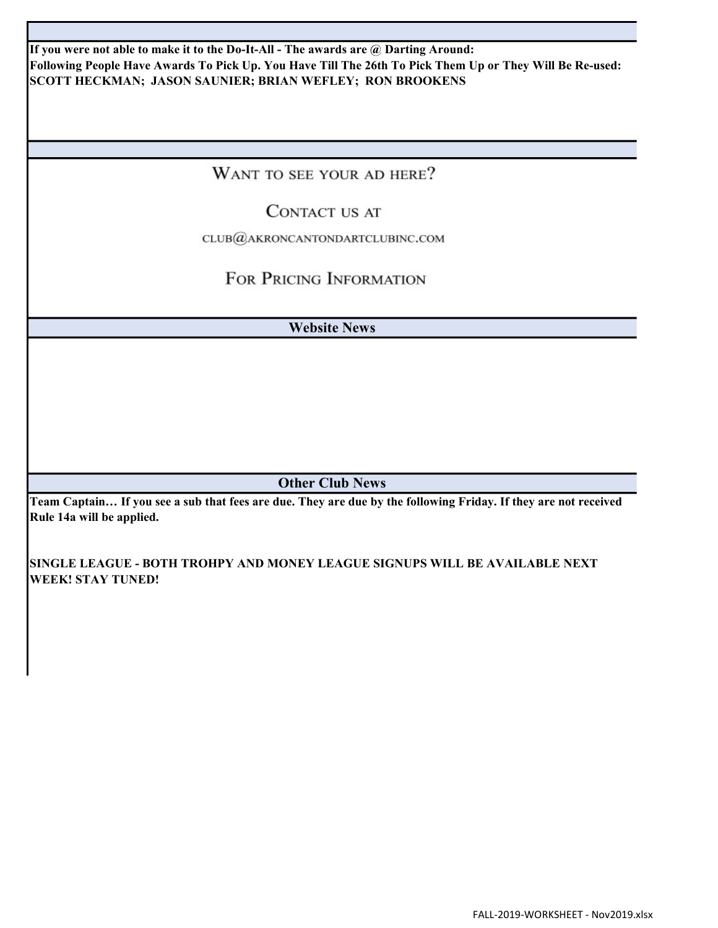If you were not able to make it to the Do-It-All - The awards are @ Darting Around: Following People Have Awards To Pick Up. You Have Till The 26th To Pick Them Up or They Will Be Re-used: SCOTT HECKMAN; JASON SAUNIER; BRIAN WEFLEY; RON BROOKENS

WANT TO SEE YOUR AD HERE?

### CONTACT US AT

CLUB@AKRONCANTONDARTCLUBINC.COM

## FOR PRICING INFORMATION

Website News

Other Club News

Team Captain… If you see a sub that fees are due. They are due by the following Friday. If they are not received Rule 14a will be applied.

SINGLE LEAGUE - BOTH TROHPY AND MONEY LEAGUE SIGNUPS WILL BE AVAILABLE NEXT WEEK! STAY TUNED!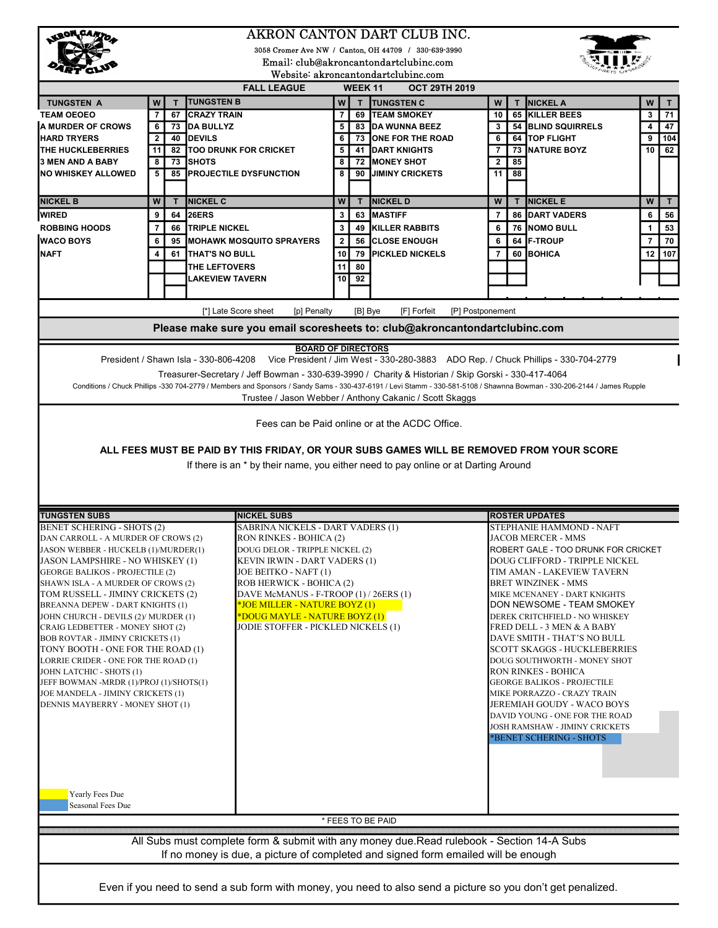| <b>KRON CANT</b>                                                                                                                                                                                |                    |          |                                         |                                                                    |                       |               | AKRON CANTON DART CLUB INC.                                                                                                                                             |                |              |                                                                  |                      |
|-------------------------------------------------------------------------------------------------------------------------------------------------------------------------------------------------|--------------------|----------|-----------------------------------------|--------------------------------------------------------------------|-----------------------|---------------|-------------------------------------------------------------------------------------------------------------------------------------------------------------------------|----------------|--------------|------------------------------------------------------------------|----------------------|
| 3058 Cromer Ave NW / Canton, OH 44709 / 330-639-3990                                                                                                                                            |                    |          |                                         |                                                                    |                       |               |                                                                                                                                                                         |                |              |                                                                  |                      |
|                                                                                                                                                                                                 |                    |          |                                         |                                                                    |                       |               | Email: club@akroncantondartclubinc.com                                                                                                                                  |                |              |                                                                  |                      |
|                                                                                                                                                                                                 |                    |          |                                         |                                                                    |                       |               | Website: akroncantondartclubinc.com                                                                                                                                     |                |              |                                                                  |                      |
|                                                                                                                                                                                                 |                    |          |                                         | <b>FALL LEAGUE</b>                                                 |                       | <b>WEEK11</b> | <b>OCT 29TH 2019</b>                                                                                                                                                    |                |              |                                                                  |                      |
| <b>TUNGSTEN A</b>                                                                                                                                                                               | W                  | T.       | <b>TUNGSTEN B</b>                       |                                                                    | W                     | T             | <b>TUNGSTEN C</b>                                                                                                                                                       | W              |              | <b>NICKEL A</b>                                                  | W<br>т               |
| <b>TEAM OEOEO</b>                                                                                                                                                                               | 7                  | 67       | <b>ICRAZY TRAIN</b>                     |                                                                    | 7                     | 69            | <b>TEAM SMOKEY</b>                                                                                                                                                      | 10             | 65           | KILLER BEES                                                      | 3<br>71              |
| <b>A MURDER OF CROWS</b>                                                                                                                                                                        | 6                  | 73       | <b>DA BULLYZ</b><br>Idevils             |                                                                    | 5                     |               | 83 DA WUNNA BEEZ                                                                                                                                                        | 3              |              | <b>54 BLIND SQUIRRELS</b>                                        | 47<br>4              |
| <b>HARD TRYERS</b><br><b>THE HUCKLEBERRIES</b>                                                                                                                                                  | $\mathbf{2}$<br>11 | 40<br>82 |                                         | <b>TOO DRUNK FOR CRICKET</b>                                       | 6<br>5                | 73            | <b>JONE FOR THE ROAD</b><br><b>41 DART KNIGHTS</b>                                                                                                                      | 6<br>7         | 73           | 64 TOP FLIGHT<br><b>NATURE BOYZ</b>                              | 104<br>9<br>10<br>62 |
| <b>3 MEN AND A BABY</b>                                                                                                                                                                         | 8                  | 73       | <b>I</b> SHOTS                          |                                                                    | 8                     | 72            | <b>MONEY SHOT</b>                                                                                                                                                       | 2              | 85           |                                                                  |                      |
| <b>NO WHISKEY ALLOWED</b>                                                                                                                                                                       | 5                  | 85       |                                         | <b>PROJECTILE DYSFUNCTION</b>                                      | 8                     | 90            | <b>JIMINY CRICKETS</b>                                                                                                                                                  | 11             | 88           |                                                                  |                      |
|                                                                                                                                                                                                 |                    |          |                                         |                                                                    |                       |               |                                                                                                                                                                         |                |              |                                                                  |                      |
| <b>NICKEL B</b>                                                                                                                                                                                 | W                  | T.       | <b>NICKEL C</b>                         |                                                                    | W                     | T             | <b>NICKEL D</b>                                                                                                                                                         | W              | $\mathbf{T}$ | <b>NICKEL E</b>                                                  | W<br>T.              |
| <b>WIRED</b>                                                                                                                                                                                    | 9                  | 64       | <b>26ERS</b>                            |                                                                    | 3                     | 63            | IMASTIFF                                                                                                                                                                | $\overline{7}$ | 86           | <b>DART VADERS</b>                                               | 56<br>6              |
| <b>ROBBING HOODS</b>                                                                                                                                                                            | $\overline{7}$     | 66       | <b>TRIPLE NICKEL</b>                    |                                                                    | 3                     | 49            | KILLER RABBITS                                                                                                                                                          | 6              | 76           | <b>NOMO BULL</b>                                                 | 53<br>1              |
| <b>WACO BOYS</b>                                                                                                                                                                                |                    |          |                                         |                                                                    |                       | 56            |                                                                                                                                                                         |                | 64           | <b>IF-TROUP</b>                                                  | 70<br>$\overline{7}$ |
|                                                                                                                                                                                                 | 6                  |          |                                         | 95 MOHAWK MOSQUITO SPRAYERS                                        | $\mathbf{2}$          |               | <b>CLOSE ENOUGH</b><br><b>PICKLED NICKELS</b>                                                                                                                           | 6              |              |                                                                  |                      |
| INAFT                                                                                                                                                                                           | 4                  | 61       | THAT'S NO BULL                          |                                                                    | 10                    | 79            |                                                                                                                                                                         | 7              | 60           | <b>BOHICA</b>                                                    | 107<br>12            |
|                                                                                                                                                                                                 |                    |          | THE LEFTOVERS<br><b>LAKEVIEW TAVERN</b> |                                                                    | 11<br>10 <sup>1</sup> | 80<br>92      |                                                                                                                                                                         |                |              |                                                                  |                      |
|                                                                                                                                                                                                 |                    |          |                                         |                                                                    |                       |               |                                                                                                                                                                         |                |              |                                                                  |                      |
|                                                                                                                                                                                                 |                    |          |                                         |                                                                    |                       |               |                                                                                                                                                                         |                |              |                                                                  |                      |
|                                                                                                                                                                                                 |                    |          |                                         | [*] Late Score sheet<br>[p] Penalty                                |                       | [B] Bye       | [F] Forfeit<br>[P] Postponement                                                                                                                                         |                |              |                                                                  |                      |
|                                                                                                                                                                                                 |                    |          |                                         |                                                                    |                       |               | Please make sure you email scoresheets to: club@akroncantondartclubinc.com                                                                                              |                |              |                                                                  |                      |
|                                                                                                                                                                                                 |                    |          |                                         | <b>BOARD OF DIRECTORS</b>                                          |                       |               |                                                                                                                                                                         |                |              |                                                                  |                      |
|                                                                                                                                                                                                 |                    |          |                                         |                                                                    |                       |               | President / Shawn Isla - 330-806-4208 Vice President / Jim West - 330-280-3883 ADO Rep. / Chuck Phillips - 330-704-2779                                                 |                |              |                                                                  |                      |
|                                                                                                                                                                                                 |                    |          |                                         |                                                                    |                       |               | Treasurer-Secretary / Jeff Bowman - 330-639-3990 / Charity & Historian / Skip Gorski - 330-417-4064                                                                     |                |              |                                                                  |                      |
|                                                                                                                                                                                                 |                    |          |                                         |                                                                    |                       |               | Conditions / Chuck Phillips -330 704-2779 / Members and Sponsors / Sandy Sams - 330-437-6191 / Levi Stamm - 330-581-5108 / Shawnna Bowman - 330-206-2144 / James Rupple |                |              |                                                                  |                      |
|                                                                                                                                                                                                 |                    |          |                                         |                                                                    |                       |               | Trustee / Jason Webber / Anthony Cakanic / Scott Skaggs                                                                                                                 |                |              |                                                                  |                      |
|                                                                                                                                                                                                 |                    |          |                                         |                                                                    |                       |               |                                                                                                                                                                         |                |              |                                                                  |                      |
|                                                                                                                                                                                                 |                    |          |                                         |                                                                    |                       |               | Fees can be Paid online or at the ACDC Office.                                                                                                                          |                |              |                                                                  |                      |
|                                                                                                                                                                                                 |                    |          |                                         |                                                                    |                       |               |                                                                                                                                                                         |                |              |                                                                  |                      |
|                                                                                                                                                                                                 |                    |          |                                         |                                                                    |                       |               | ALL FEES MUST BE PAID BY THIS FRIDAY, OR YOUR SUBS GAMES WILL BE REMOVED FROM YOUR SCORE                                                                                |                |              |                                                                  |                      |
|                                                                                                                                                                                                 |                    |          |                                         |                                                                    |                       |               | If there is an * by their name, you either need to pay online or at Darting Around                                                                                      |                |              |                                                                  |                      |
|                                                                                                                                                                                                 |                    |          |                                         |                                                                    |                       |               |                                                                                                                                                                         |                |              |                                                                  |                      |
|                                                                                                                                                                                                 |                    |          |                                         |                                                                    |                       |               |                                                                                                                                                                         |                |              |                                                                  |                      |
|                                                                                                                                                                                                 |                    |          |                                         |                                                                    |                       |               |                                                                                                                                                                         |                |              |                                                                  |                      |
| <b>TUNGSTEN SUBS</b>                                                                                                                                                                            |                    |          |                                         |                                                                    |                       |               |                                                                                                                                                                         |                |              | <b>ROSTER UPDATES</b><br>STEPHANIE HAMMOND - NAFT                |                      |
| <b>BENET SCHERING - SHOTS (2)</b>                                                                                                                                                               |                    |          |                                         | <b>NICKEL SUBS</b>                                                 |                       |               |                                                                                                                                                                         |                |              |                                                                  |                      |
| DAN CARROLL - A MURDER OF CROWS (2)                                                                                                                                                             |                    |          |                                         | <b>SABRINA NICKELS - DART VADERS (1)</b>                           |                       |               |                                                                                                                                                                         |                |              |                                                                  |                      |
|                                                                                                                                                                                                 |                    |          |                                         | RON RINKES - BOHICA (2)                                            |                       |               |                                                                                                                                                                         |                |              | JACOB MERCER - MMS                                               |                      |
|                                                                                                                                                                                                 |                    |          |                                         | DOUG DELOR - TRIPPLE NICKEL (2)                                    |                       |               |                                                                                                                                                                         |                |              | ROBERT GALE - TOO DRUNK FOR CRICKET                              |                      |
|                                                                                                                                                                                                 |                    |          |                                         | KEVIN IRWIN - DART VADERS (1)                                      |                       |               |                                                                                                                                                                         |                |              | DOUG CLIFFORD - TRIPPLE NICKEL                                   |                      |
|                                                                                                                                                                                                 |                    |          |                                         | JOE BEITKO - NAFT (1)                                              |                       |               |                                                                                                                                                                         |                |              | TIM AMAN - LAKEVIEW TAVERN                                       |                      |
| SHAWN ISLA - A MURDER OF CROWS (2)                                                                                                                                                              |                    |          |                                         | ROB HERWICK - BOHICA (2)<br>DAVE McMANUS - F-TROOP (1) / 26ERS (1) |                       |               |                                                                                                                                                                         |                |              | BRET WINZINEK - MMS<br>MIKE MCENANEY - DART KNIGHTS              |                      |
| BREANNA DEPEW - DART KNIGHTS (1)                                                                                                                                                                |                    |          |                                         | <u> SJOE MILLER - NATURE BOYZ (1)</u>                              |                       |               |                                                                                                                                                                         |                |              | DON NEWSOME - TEAM SMOKEY                                        |                      |
| JASON WEBBER - HUCKELB (1)/MURDER(1)<br>JASON LAMPSHIRE - NO WHISKEY (1)<br><b>GEORGE BALIKOS - PROJECTILE (2)</b><br>TOM RUSSELL - JIMINY CRICKETS (2)<br>JOHN CHURCH - DEVILS (2)/ MURDER (1) |                    |          |                                         | <u> FDOUG MAYLE - NATURE BOYZ (1)</u>                              |                       |               |                                                                                                                                                                         |                |              | DEREK CRITCHFIELD - NO WHISKEY                                   |                      |
| CRAIG LEDBETTER - MONEY SHOT (2)                                                                                                                                                                |                    |          |                                         | JODIE STOFFER - PICKLED NICKELS (1)                                |                       |               |                                                                                                                                                                         |                |              | FRED DELL - 3 MEN & A BABY                                       |                      |
| <b>BOB ROVTAR - JIMINY CRICKETS (1)</b>                                                                                                                                                         |                    |          |                                         |                                                                    |                       |               |                                                                                                                                                                         |                |              | DAVE SMITH - THAT'S NO BULL                                      |                      |
| TONY BOOTH - ONE FOR THE ROAD (1)                                                                                                                                                               |                    |          |                                         |                                                                    |                       |               |                                                                                                                                                                         |                |              | SCOTT SKAGGS - HUCKLEBERRIES                                     |                      |
|                                                                                                                                                                                                 |                    |          |                                         |                                                                    |                       |               |                                                                                                                                                                         |                |              | DOUG SOUTHWORTH - MONEY SHOT                                     |                      |
| JOHN LATCHIC - SHOTS (1)                                                                                                                                                                        |                    |          |                                         |                                                                    |                       |               |                                                                                                                                                                         |                |              | <b>RON RINKES - BOHICA</b>                                       |                      |
| JEFF BOWMAN -MRDR (1)/PROJ (1)/SHOTS(1)                                                                                                                                                         |                    |          |                                         |                                                                    |                       |               |                                                                                                                                                                         |                |              | <b>GEORGE BALIKOS - PROJECTILE</b>                               |                      |
| JOE MANDELA - JIMINY CRICKETS (1)                                                                                                                                                               |                    |          |                                         |                                                                    |                       |               |                                                                                                                                                                         |                |              | MIKE PORRAZZO - CRAZY TRAIN                                      |                      |
| DENNIS MAYBERRY - MONEY SHOT (1)                                                                                                                                                                |                    |          |                                         |                                                                    |                       |               |                                                                                                                                                                         |                |              | JEREMIAH GOUDY - WACO BOYS                                       |                      |
|                                                                                                                                                                                                 |                    |          |                                         |                                                                    |                       |               |                                                                                                                                                                         |                |              | DAVID YOUNG - ONE FOR THE ROAD<br>JOSH RAMSHAW - JIMINY CRICKETS |                      |
|                                                                                                                                                                                                 |                    |          |                                         |                                                                    |                       |               |                                                                                                                                                                         |                |              | *BENET SCHERING - SHOTS                                          |                      |
|                                                                                                                                                                                                 |                    |          |                                         |                                                                    |                       |               |                                                                                                                                                                         |                |              |                                                                  |                      |
|                                                                                                                                                                                                 |                    |          |                                         |                                                                    |                       |               |                                                                                                                                                                         |                |              |                                                                  |                      |
|                                                                                                                                                                                                 |                    |          |                                         |                                                                    |                       |               |                                                                                                                                                                         |                |              |                                                                  |                      |
|                                                                                                                                                                                                 |                    |          |                                         |                                                                    |                       |               |                                                                                                                                                                         |                |              |                                                                  |                      |
| Yearly Fees Due<br>Seasonal Fees Due                                                                                                                                                            |                    |          |                                         |                                                                    |                       |               |                                                                                                                                                                         |                |              |                                                                  |                      |
|                                                                                                                                                                                                 |                    |          |                                         |                                                                    |                       |               | * FEES TO BE PAID                                                                                                                                                       |                |              |                                                                  |                      |
| LORRIE CRIDER - ONE FOR THE ROAD (1)                                                                                                                                                            |                    |          |                                         |                                                                    |                       |               |                                                                                                                                                                         |                |              |                                                                  |                      |
|                                                                                                                                                                                                 |                    |          |                                         |                                                                    |                       |               | All Subs must complete form & submit with any money due.Read rulebook - Section 14-A Subs                                                                               |                |              |                                                                  |                      |
|                                                                                                                                                                                                 |                    |          |                                         |                                                                    |                       |               | If no money is due, a picture of completed and signed form emailed will be enough                                                                                       |                |              |                                                                  |                      |
|                                                                                                                                                                                                 |                    |          |                                         |                                                                    |                       |               |                                                                                                                                                                         |                |              |                                                                  |                      |
|                                                                                                                                                                                                 |                    |          |                                         |                                                                    |                       |               | Even if you need to send a sub form with money, you need to also send a picture so you don't get penalized.                                                             |                |              |                                                                  |                      |